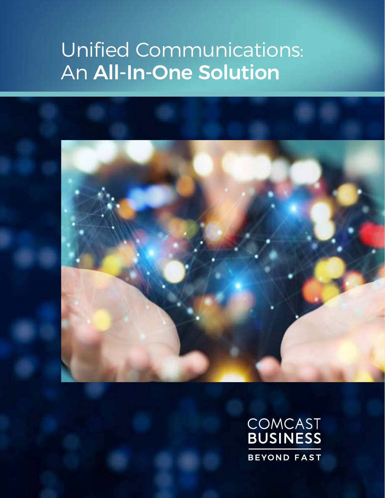# Unified Communications: An All-In-One Solution



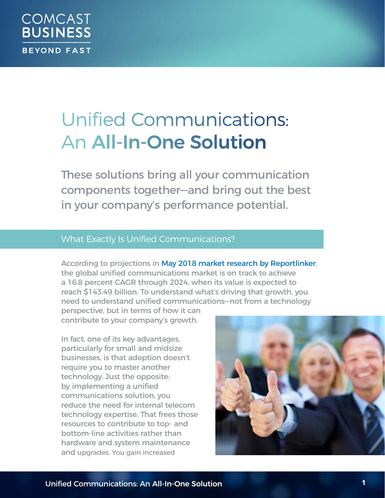## Unified Communications: An All-In-One Solution

These solutions bring all your communication components together—and bring out the best in your company's performance potential.

### What Exactly Is Unified Communications?

According to projections in [May 2018 market research by Reportlinker](https://www.prnewswire.com/news-releases/the-global-unified-communications-market-size-is-expected-to-reach-usd-143-49-billion-by-2024--300673187.html), the global unified communications market is on track to achieve a 16.8 percent CAGR through 2024, when its value is expected to reach \$143.49 billion. To understand what's driving that growth, you need to understand unified communications—not from a technology

perspective, but in terms of how it can contribute to your company's growth.

In fact, one of its key advantages, particularly for small and midsize businesses, is that adoption doesn't require you to master another technology. Just the opposite: by implementing a unified communications solution, you reduce the need for internal telecom technology expertise. That frees those resources to contribute to top- and bottom-line activities rather than hardware and system maintenance and upgrades. You gain increased

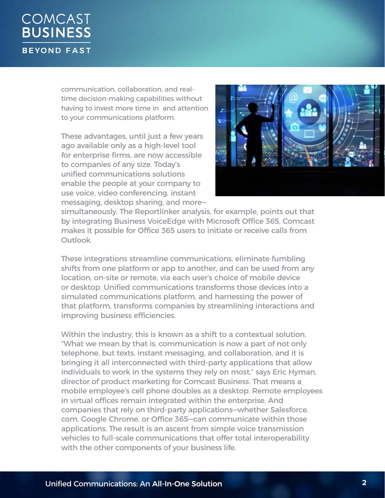communication, collaboration, and realtime decision-making capabilities without having to invest more time in and attention to your communications platform.

These advantages, until just a few years ago available only as a high-level tool for enterprise firms, are now accessible to companies of any size. Today's unified communications solutions enable the people at your company to use voice, video conferencing, instant messaging, desktop sharing, and more—



simultaneously. The Reportlinker analysis, for example, points out that by integrating Business VoiceEdge with Microsoft Office 365, Comcast makes it possible for Office 365 users to initiate or receive calls from Outlook.

These integrations streamline communications, eliminate fumbling shifts from one platform or app to another, and can be used from any location, on-site or remote, via each user's choice of mobile device or desktop. Unified communications transforms those devices into a simulated communications platform, and harnessing the power of that platform, transforms companies by streamlining interactions and improving business efficiencies.

Within the industry, this is known as a shift to a contextual solution. "What we mean by that is, communication is now a part of not only telephone, but texts, instant messaging, and collaboration, and it is bringing it all interconnected with third-party applications that allow individuals to work in the systems they rely on most," says Eric Hyman, director of product marketing for Comcast Business. That means a mobile employee's cell phone doubles as a desktop. Remote employees in virtual offices remain integrated within the enterprise. And companies that rely on third-party applications—whether Salesforce. com, Google Chrome, or Office 365—can communicate within those applications. The result is an ascent from simple voice transmission vehicles to full-scale communications that offer total interoperability with the other components of your business life.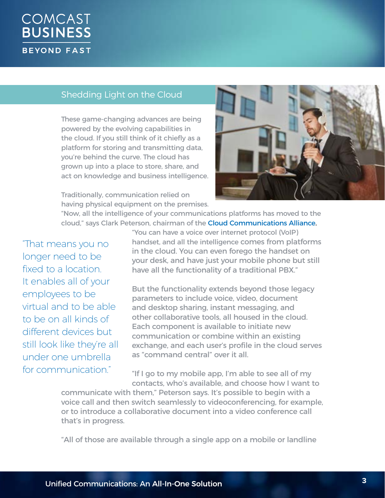### Shedding Light on the Cloud

These game-changing advances are being powered by the evolving capabilities in the cloud. If you still think of it chiefly as a platform for storing and transmitting data, you're behind the curve. The cloud has grown up into a place to store, share, and act on knowledge and business intelligence.

Traditionally, communication relied on having physical equipment on the premises.

"Now, all the intelligence of your communications platforms has moved to the cloud," says Clark Peterson, chairman of the [Cloud Communications Alliance.](http://www.cloudcommunications.com/)

"That means you no longer need to be fixed to a location. It enables all of your employees to be virtual and to be able to be on all kinds of different devices but still look like they're all under one umbrella for communication."

"You can have a voice over internet protocol (VoIP) handset, and all the intelligence comes from platforms in the cloud. You can even forego the handset on your desk, and have just your mobile phone but still have all the functionality of a traditional PBX."

But the functionality extends beyond those legacy parameters to include voice, video, document and desktop sharing, instant messaging, and other collaborative tools, all housed in the cloud. Each component is available to initiate new communication or combine within an existing exchange, and each user's profile in the cloud serves as "command central" over it all.

"If I go to my mobile app, I'm able to see all of my contacts, who's available, and choose how I want to

communicate with them," Peterson says. It's possible to begin with a voice call and then switch seamlessly to videoconferencing, for example, or to introduce a collaborative document into a video conference call that's in progress.

"All of those are available through a single app on a mobile or landline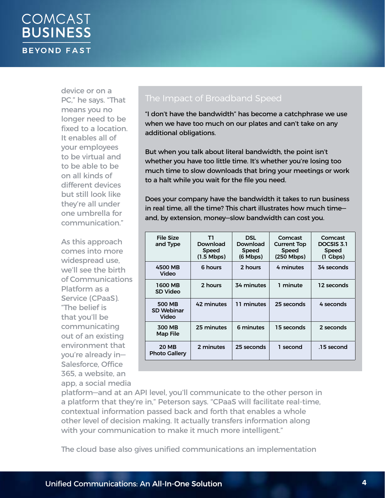device or on a PC," he says. "That means you no longer need to be fixed to a location. It enables all of your employees to be virtual and to be able to be on all kinds of different devices but still look like they're all under one umbrella for communication."

As this approach comes into more widespread use, we'll see the birth of Communications Platform as a Service (CPaaS). "The belief is that you'll be communicating out of an existing environment that you're already in— Salesforce, Office 365, a website, an app, a social media

"I don't have the bandwidth" has become a catchphrase we use when we have too much on our plates and can't take on any additional obligations.

But when you talk about literal bandwidth, the point isn't whether you have too little time. It's whether you're losing too much time to slow downloads that bring your meetings or work to a halt while you wait for the file you need.

Does your company have the bandwidth it takes to run business in real time, all the time? This chart illustrates how much time and, by extension, money—slow bandwidth can cost you.

| <b>File Size</b><br>and Type                | T1<br>Download<br><b>Speed</b><br>$(1.5 \text{ Mbps})$ | <b>DSL</b><br>Download<br><b>Speed</b><br>$(6 \text{ Mbps})$ | Comcast<br><b>Current Top</b><br><b>Speed</b><br>$(250$ Mbps) | Comcast<br>DOCSIS 3.1<br><b>Speed</b><br>$(1 \text{ Gbps})$ |
|---------------------------------------------|--------------------------------------------------------|--------------------------------------------------------------|---------------------------------------------------------------|-------------------------------------------------------------|
| 4500 MB<br>Video                            | 6 hours                                                | 2 hours                                                      | 4 minutes                                                     | 34 seconds                                                  |
| 1600 MB<br><b>SD Video</b>                  | 2 hours                                                | 34 minutes                                                   | 1 minute                                                      | 12 seconds                                                  |
| <b>500 MB</b><br><b>SD Webinar</b><br>Video | 42 minutes                                             | 11 minutes                                                   | 25 seconds                                                    | 4 seconds                                                   |
| 300 MB<br><b>Map File</b>                   | 25 minutes                                             | 6 minutes                                                    | 15 seconds                                                    | 2 seconds                                                   |
| <b>20 MB</b><br><b>Photo Gallery</b>        | 2 minutes                                              | 25 seconds                                                   | 1 second                                                      | .15 second                                                  |

platform—and at an API level, you'll communicate to the other person in a platform that they're in," Peterson says. "CPaaS will facilitate real-time, contextual information passed back and forth that enables a whole other level of decision making. It actually transfers information along with your communication to make it much more intelligent."

The cloud base also gives unified communications an implementation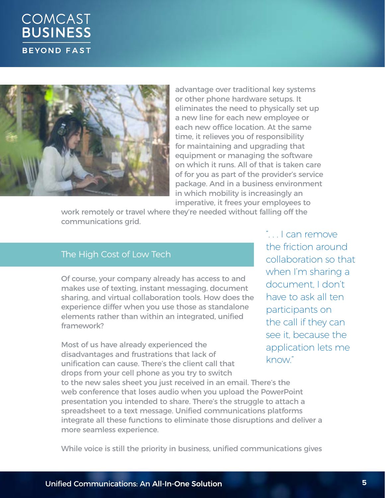



advantage over traditional key systems or other phone hardware setups. It eliminates the need to physically set up a new line for each new employee or each new office location. At the same time, it relieves you of responsibility for maintaining and upgrading that equipment or managing the software on which it runs. All of that is taken care of for you as part of the provider's service package. And in a business environment in which mobility is increasingly an imperative, it frees your employees to

work remotely or travel where they're needed without falling off the communications grid.

#### The High Cost of Low Tech

Of course, your company already has access to and makes use of texting, instant messaging, document sharing, and virtual collaboration tools. How does the experience differ when you use those as standalone elements rather than within an integrated, unified framework?

Most of us have already experienced the disadvantages and frustrations that lack of unification can cause. There's the client call that

". . . I can remove the friction around collaboration so that when I'm sharing a document, I don't have to ask all ten participants on the call if they can see it, because the application lets me know."

drops from your cell phone as you try to switch to the new sales sheet you just received in an email. There's the web conference that loses audio when you upload the PowerPoint presentation you intended to share. There's the struggle to attach a spreadsheet to a text message. Unified communications platforms integrate all these functions to eliminate those disruptions and deliver a more seamless experience.

While voice is still the priority in business, unified communications gives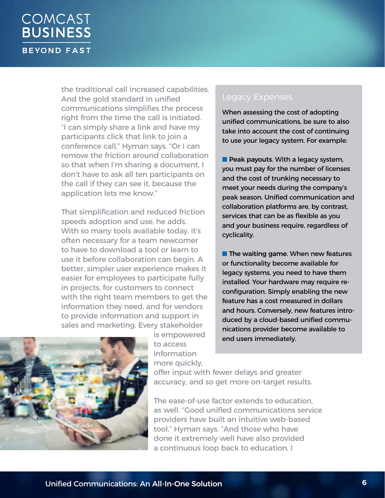the traditional call increased capabilities. And the gold standard in unified communications simplifies the process right from the time the call is initiated. "I can simply share a link and have my participants click that link to join a conference call," Hyman says. "Or I can remove the friction around collaboration so that when I'm sharing a document, I don't have to ask all ten participants on the call if they can see it, because the application lets me know."

That simplification and reduced friction speeds adoption and use, he adds. With so many tools available today, it's often necessary for a team newcomer to have to download a tool or learn to use it before collaboration can begin. A better, simpler user experience makes it easier for employees to participate fully in projects, for customers to connect with the right team members to get the information they need, and for vendors to provide information and support in sales and marketing. Every stakeholder

#### Legacy Expenses

When assessing the cost of adopting unified communications, be sure to also take into account the cost of continuing to use your legacy system. For example:

 $\blacksquare$  Peak payouts. With a legacy system, you must pay for the number of licenses and the cost of trunking necessary to meet your needs during the company's peak season. Unified communication and collaboration platforms are, by contrast, services that can be as flexible as you and your business require, regardless of cyclicality.

 $\blacksquare$  The waiting game. When new features or functionality become available for legacy systems, you need to have them installed. Your hardware may require reconfiguration. Simply enabling the new feature has a cost measured in dollars and hours. Conversely, new features introduced by a cloud-based unified communications provider become available to end users immediately.



is empowered to access information more quickly,

offer input with fewer delays and greater accuracy, and so get more on-target results.

The ease-of-use factor extends to education, as well. "Good unified communications service providers have built an intuitive web-based tool," Hyman says. "And those who have done it extremely well have also provided a continuous loop back to education. I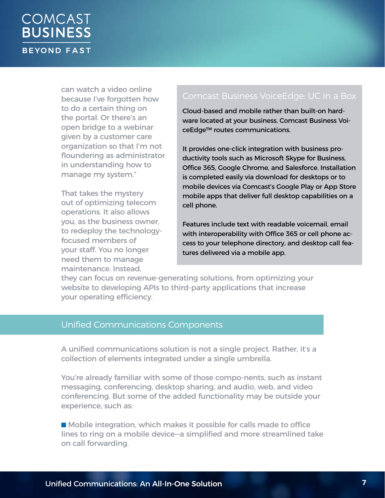can watch a video online because I've forgotten how to do a certain thing on the portal. Or there's an open bridge to a webinar given by a customer care organization so that I'm not floundering as administrator in understanding how to manage my system."

That takes the mystery out of optimizing telecom operations. It also allows you, as the business owner, to redeploy the technologyfocused members of your staff. You no longer need them to manage maintenance. Instead,

### Comcast Business VoiceEdge: UC in a Box

Cloud-based and mobile rather than built-on hardware located at your business, [Comcast Business Voi](https://business.comcast.com/voiceedge-select)[ceEdge™](https://business.comcast.com/voiceedge-select) routes communications.

It provides one-click integration with business productivity tools such as Microsoft Skype for Business, Office 365, Google Chrome, and Salesforce. Installation is completed easily via download for desktops or to mobile devices via Comcast's Google Play or App Store mobile apps that deliver full desktop capabilities on a cell phone.

Features include text with readable voicemail, email with interoperability with Office 365 or cell phone access to your telephone directory, and desktop call features delivered via a mobile app.

they can focus on revenue-generating solutions, from optimizing your website to developing APIs to third-party applications that increase your operating efficiency.

#### Unified Communications Components

A unified communications solution is not a single project. Rather, it's a collection of elements integrated under a single umbrella.

You're already familiar with some of those compo-nents, such as instant messaging, conferencing, desktop sharing, and audio, web, and video conferencing. But some of the added functionality may be outside your experience, such as:

**n** Mobile integration, which makes it possible for calls made to office lines to ring on a mobile device—a simplified and more streamlined take on call forwarding.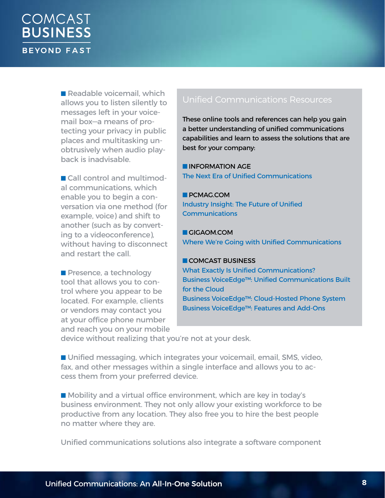$\blacksquare$  Readable voicemail, which allows you to listen silently to messages left in your voicemail box—a means of protecting your privacy in public places and multitasking unobtrusively when audio playback is inadvisable.

■ Call control and multimodal communications, which enable you to begin a conversation via one method (for example, voice) and shift to another (such as by converting to a videoconference), without having to disconnect and restart the call.

 $\blacksquare$  Presence, a technology tool that allows you to control where you appear to be located. For example, clients or vendors may contact you at your office phone number and reach you on your mobile

#### Unified Communications Resources

These online tools and references can help you gain a better understanding of unified communications capabilities and learn to assess the solutions that are best for your company:

**N INFORMATION AGE** [The Next Era of Unified Communications](https://www.information-age.com/next-era-unified-communications-123467695/)

**D** PCMAG.COM [Industry Insight: The Future of Unified](https://www.pcmag.com/article/358413/industry-insight-the-future-of-unified-communications)  [Communications](https://www.pcmag.com/article/358413/industry-insight-the-future-of-unified-communications)

**n** GIGAOM.COM [Where We're Going with Unified Communications](https://gigaom.com/2018/03/01/where-were-going-with-unified-communications/)

#### **n** COMCAST BUSINESS

[What Exactly Is Unified Communications?](https://cbcommunity.comcast.com/browse-all/details/what-exactly-is-unified-communications) [Business VoiceEdge™: Unified Communications Built](https://cbcommunity.comcast.com/browse-all/details/comcast-business-voiceedge-unified-communications-built-for-the-cloud)  [for the Cloud](https://cbcommunity.comcast.com/browse-all/details/comcast-business-voiceedge-unified-communications-built-for-the-cloud) [Business VoiceEdge™: Cloud-Hosted Phone System](https://business.comcast.com/phone/voiceedge) [Business VoiceEdge™: Features and Add-Ons](https://business.comcast.com/phone/voiceedge/included-features)

device without realizing that you're not at your desk.

■ Unified messaging, which integrates your voicemail, email, SMS, video, fax, and other messages within a single interface and allows you to access them from your preferred device.

■ Mobility and a virtual office environment, which are key in today's business environment. They not only allow your existing workforce to be productive from any location. They also free you to hire the best people no matter where they are.

Unified communications solutions also integrate a software component